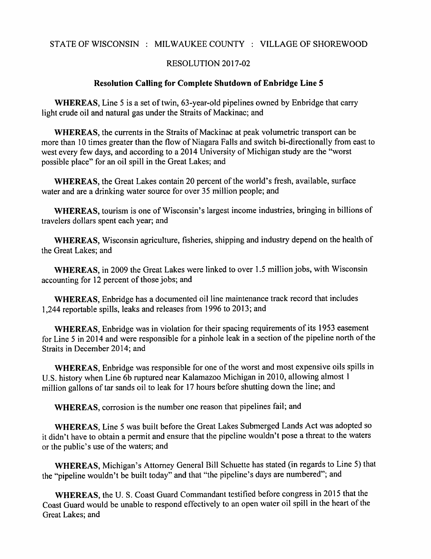## STATE OF WISCONSIN : MILWAUKEE COUNTY : VILLAGE OF SHOREWOOD

## RESOLUTION 2017-02

## Resolution Calling for Complete Shutdown of Enbridge Line

WHEREAS, Line 5 is a set of twin,  $63$ -year-old pipelines owned by Enbridge that carry light crude oil and natural gas under the Straits of Mackinac; and

WHEREAS, the currents in the Straits of Mackinac at peak volumetric transport can be more than 10 times greater than the flow of Niagara Falls and switch bi-directionally from east to west every few days, and according to 2014 University of Michigan study are the "worst possible place" for an oil spill in the Great Lakes; and

WHEREAS, the Great Lakes contain 20 percent of the world's fresh, available, surface water and are a drinking water source for over 35 million people; and

WHEREAS, tourism is one of Wisconsin's largest income industries, bringing in billions of travelers dollars spent each year; and

WHEREAS, Wisconsin agriculture, fisheries, shipping and industry depend on the health of the Great Lakes; and

WHEREAS, in 2009 the Great Lakes were linked to over 1.5 million jobs, with Wisconsin accounting for 12 percent of those jobs; and

WHEREAS, Enbridge has a documented oil line maintenance track record that includes 1,244 reportable spills, leaks and releases from 1996 to 2013; and

WHEREAS, Enbridge was in violation for their spacing requirements of its <sup>1953</sup> easement for Line 5 in 2014 and were responsible for a pinhole leak in a section of the pipeline north of the Straits in December 2014; and

WHEREAS, Enbridge was responsible for one of the worst and most expensive oils spills in U.S. history when Line 6b ruptured near Kalamazoo Michigan in 2010, allowing almost 1 million gallons of tar sands oil to leak for 17 hours before shutting down the line; and

WHEREAS, corrosion is the number one reason that pipelines fail; and

WHEREAS, Line 5 was built before the Great Lakes Submerged Lands Act was adopted so it didn't have to obtain a permit and ensure that the pipeline wouldn't pose a threat to the waters or the public's use of the waters; and

WHEREAS, Michigan's Attorney General Bill Schuette has stated (in regards to Line 5) that the "pipeline wouldn't be built today" and that "the pipeline's days are numbered"; and

WHEREAS, the U. S. Coast Guard Commandant testified before congress in 2015 that the Coast Guard would be unable to respond effectively to an open water oil spill in the heart of the Great Lakes; and